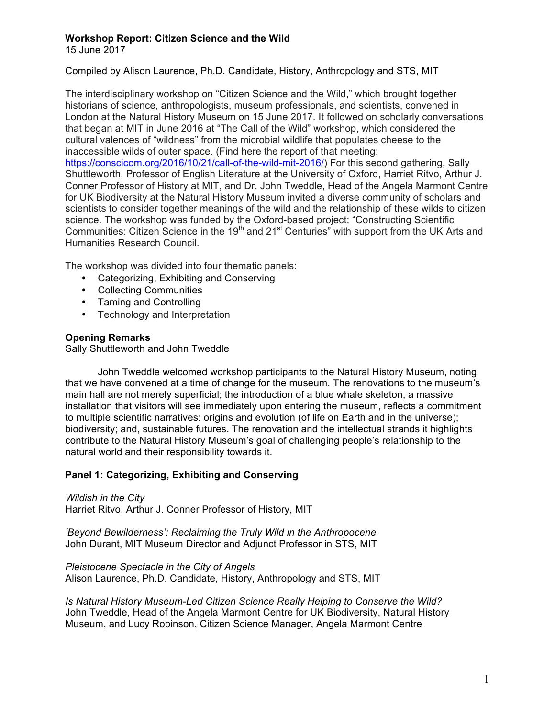15 June 2017

Compiled by Alison Laurence, Ph.D. Candidate, History, Anthropology and STS, MIT

The interdisciplinary workshop on "Citizen Science and the Wild," which brought together historians of science, anthropologists, museum professionals, and scientists, convened in London at the Natural History Museum on 15 June 2017. It followed on scholarly conversations that began at MIT in June 2016 at "The Call of the Wild" workshop, which considered the cultural valences of "wildness" from the microbial wildlife that populates cheese to the inaccessible wilds of outer space. (Find here the report of that meeting: https://conscicom.org/2016/10/21/call-of-the-wild-mit-2016/) For this second gathering, Sally Shuttleworth, Professor of English Literature at the University of Oxford, Harriet Ritvo, Arthur J. Conner Professor of History at MIT, and Dr. John Tweddle, Head of the Angela Marmont Centre for UK Biodiversity at the Natural History Museum invited a diverse community of scholars and scientists to consider together meanings of the wild and the relationship of these wilds to citizen science. The workshop was funded by the Oxford-based project: "Constructing Scientific Communities: Citizen Science in the  $19<sup>th</sup>$  and 21<sup>st</sup> Centuries" with support from the UK Arts and Humanities Research Council.

The workshop was divided into four thematic panels:

- Categorizing, Exhibiting and Conserving
- Collecting Communities
- Taming and Controlling
- Technology and Interpretation

# **Opening Remarks**

Sally Shuttleworth and John Tweddle

John Tweddle welcomed workshop participants to the Natural History Museum, noting that we have convened at a time of change for the museum. The renovations to the museum's main hall are not merely superficial; the introduction of a blue whale skeleton, a massive installation that visitors will see immediately upon entering the museum, reflects a commitment to multiple scientific narratives: origins and evolution (of life on Earth and in the universe); biodiversity; and, sustainable futures. The renovation and the intellectual strands it highlights contribute to the Natural History Museum's goal of challenging people's relationship to the natural world and their responsibility towards it.

# **Panel 1: Categorizing, Exhibiting and Conserving**

*Wildish in the City* Harriet Ritvo, Arthur J. Conner Professor of History, MIT

*'Beyond Bewilderness': Reclaiming the Truly Wild in the Anthropocene* John Durant, MIT Museum Director and Adjunct Professor in STS, MIT

*Pleistocene Spectacle in the City of Angels* Alison Laurence, Ph.D. Candidate, History, Anthropology and STS, MIT

*Is Natural History Museum-Led Citizen Science Really Helping to Conserve the Wild?* John Tweddle, Head of the Angela Marmont Centre for UK Biodiversity, Natural History Museum, and Lucy Robinson, Citizen Science Manager, Angela Marmont Centre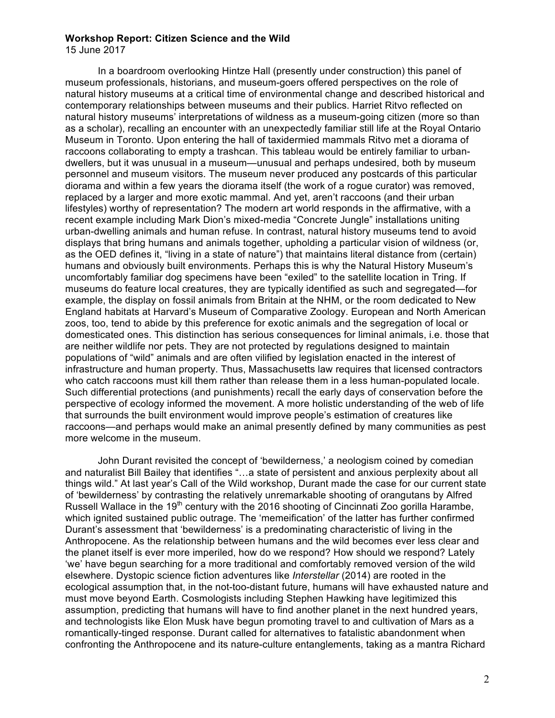15 June 2017

In a boardroom overlooking Hintze Hall (presently under construction) this panel of museum professionals, historians, and museum-goers offered perspectives on the role of natural history museums at a critical time of environmental change and described historical and contemporary relationships between museums and their publics. Harriet Ritvo reflected on natural history museums' interpretations of wildness as a museum-going citizen (more so than as a scholar), recalling an encounter with an unexpectedly familiar still life at the Royal Ontario Museum in Toronto. Upon entering the hall of taxidermied mammals Ritvo met a diorama of raccoons collaborating to empty a trashcan. This tableau would be entirely familiar to urbandwellers, but it was unusual in a museum—unusual and perhaps undesired, both by museum personnel and museum visitors. The museum never produced any postcards of this particular diorama and within a few years the diorama itself (the work of a rogue curator) was removed, replaced by a larger and more exotic mammal. And yet, aren't raccoons (and their urban lifestyles) worthy of representation? The modern art world responds in the affirmative, with a recent example including Mark Dion's mixed-media "Concrete Jungle" installations uniting urban-dwelling animals and human refuse. In contrast, natural history museums tend to avoid displays that bring humans and animals together, upholding a particular vision of wildness (or, as the OED defines it, "living in a state of nature") that maintains literal distance from (certain) humans and obviously built environments. Perhaps this is why the Natural History Museum's uncomfortably familiar dog specimens have been "exiled" to the satellite location in Tring. If museums do feature local creatures, they are typically identified as such and segregated—for example, the display on fossil animals from Britain at the NHM, or the room dedicated to New England habitats at Harvard's Museum of Comparative Zoology. European and North American zoos, too, tend to abide by this preference for exotic animals and the segregation of local or domesticated ones. This distinction has serious consequences for liminal animals, i.e. those that are neither wildlife nor pets. They are not protected by regulations designed to maintain populations of "wild" animals and are often vilified by legislation enacted in the interest of infrastructure and human property. Thus, Massachusetts law requires that licensed contractors who catch raccoons must kill them rather than release them in a less human-populated locale. Such differential protections (and punishments) recall the early days of conservation before the perspective of ecology informed the movement. A more holistic understanding of the web of life that surrounds the built environment would improve people's estimation of creatures like raccoons—and perhaps would make an animal presently defined by many communities as pest more welcome in the museum.

John Durant revisited the concept of 'bewilderness,' a neologism coined by comedian and naturalist Bill Bailey that identifies "…a state of persistent and anxious perplexity about all things wild." At last year's Call of the Wild workshop, Durant made the case for our current state of 'bewilderness' by contrasting the relatively unremarkable shooting of orangutans by Alfred Russell Wallace in the 19<sup>th</sup> century with the 2016 shooting of Cincinnati Zoo gorilla Harambe, which ignited sustained public outrage. The 'memeification' of the latter has further confirmed Durant's assessment that 'bewilderness' is a predominating characteristic of living in the Anthropocene. As the relationship between humans and the wild becomes ever less clear and the planet itself is ever more imperiled, how do we respond? How should we respond? Lately 'we' have begun searching for a more traditional and comfortably removed version of the wild elsewhere. Dystopic science fiction adventures like *Interstellar* (2014) are rooted in the ecological assumption that, in the not-too-distant future, humans will have exhausted nature and must move beyond Earth. Cosmologists including Stephen Hawking have legitimized this assumption, predicting that humans will have to find another planet in the next hundred years, and technologists like Elon Musk have begun promoting travel to and cultivation of Mars as a romantically-tinged response. Durant called for alternatives to fatalistic abandonment when confronting the Anthropocene and its nature-culture entanglements, taking as a mantra Richard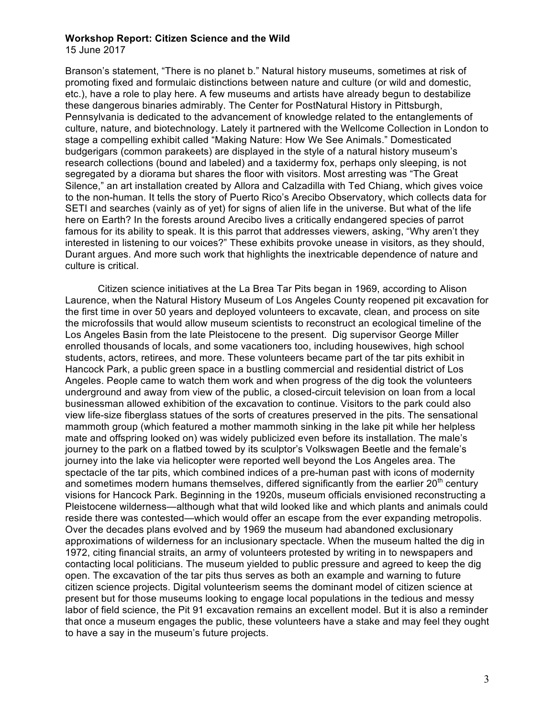15 June 2017

Branson's statement, "There is no planet b." Natural history museums, sometimes at risk of promoting fixed and formulaic distinctions between nature and culture (or wild and domestic, etc.), have a role to play here. A few museums and artists have already begun to destabilize these dangerous binaries admirably. The Center for PostNatural History in Pittsburgh, Pennsylvania is dedicated to the advancement of knowledge related to the entanglements of culture, nature, and biotechnology. Lately it partnered with the Wellcome Collection in London to stage a compelling exhibit called "Making Nature: How We See Animals." Domesticated budgerigars (common parakeets) are displayed in the style of a natural history museum's research collections (bound and labeled) and a taxidermy fox, perhaps only sleeping, is not segregated by a diorama but shares the floor with visitors. Most arresting was "The Great Silence," an art installation created by Allora and Calzadilla with Ted Chiang, which gives voice to the non-human. It tells the story of Puerto Rico's Arecibo Observatory, which collects data for SETI and searches (vainly as of yet) for signs of alien life in the universe. But what of the life here on Earth? In the forests around Arecibo lives a critically endangered species of parrot famous for its ability to speak. It is this parrot that addresses viewers, asking, "Why aren't they interested in listening to our voices?" These exhibits provoke unease in visitors, as they should, Durant argues. And more such work that highlights the inextricable dependence of nature and culture is critical.

Citizen science initiatives at the La Brea Tar Pits began in 1969, according to Alison Laurence, when the Natural History Museum of Los Angeles County reopened pit excavation for the first time in over 50 years and deployed volunteers to excavate, clean, and process on site the microfossils that would allow museum scientists to reconstruct an ecological timeline of the Los Angeles Basin from the late Pleistocene to the present. Dig supervisor George Miller enrolled thousands of locals, and some vacationers too, including housewives, high school students, actors, retirees, and more. These volunteers became part of the tar pits exhibit in Hancock Park, a public green space in a bustling commercial and residential district of Los Angeles. People came to watch them work and when progress of the dig took the volunteers underground and away from view of the public, a closed-circuit television on loan from a local businessman allowed exhibition of the excavation to continue. Visitors to the park could also view life-size fiberglass statues of the sorts of creatures preserved in the pits. The sensational mammoth group (which featured a mother mammoth sinking in the lake pit while her helpless mate and offspring looked on) was widely publicized even before its installation. The male's journey to the park on a flatbed towed by its sculptor's Volkswagen Beetle and the female's journey into the lake via helicopter were reported well beyond the Los Angeles area. The spectacle of the tar pits, which combined indices of a pre-human past with icons of modernity and sometimes modern humans themselves, differed significantly from the earlier  $20<sup>th</sup>$  century visions for Hancock Park. Beginning in the 1920s, museum officials envisioned reconstructing a Pleistocene wilderness—although what that wild looked like and which plants and animals could reside there was contested—which would offer an escape from the ever expanding metropolis. Over the decades plans evolved and by 1969 the museum had abandoned exclusionary approximations of wilderness for an inclusionary spectacle. When the museum halted the dig in 1972, citing financial straits, an army of volunteers protested by writing in to newspapers and contacting local politicians. The museum yielded to public pressure and agreed to keep the dig open. The excavation of the tar pits thus serves as both an example and warning to future citizen science projects. Digital volunteerism seems the dominant model of citizen science at present but for those museums looking to engage local populations in the tedious and messy labor of field science, the Pit 91 excavation remains an excellent model. But it is also a reminder that once a museum engages the public, these volunteers have a stake and may feel they ought to have a say in the museum's future projects.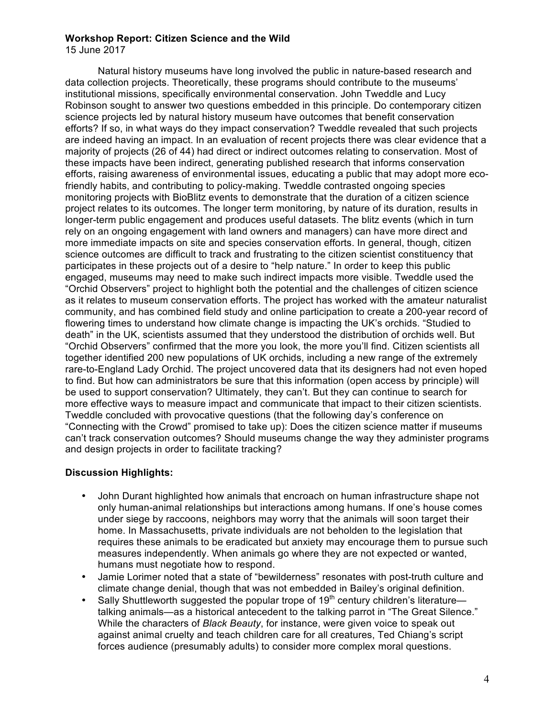15 June 2017

Natural history museums have long involved the public in nature-based research and data collection projects. Theoretically, these programs should contribute to the museums' institutional missions, specifically environmental conservation. John Tweddle and Lucy Robinson sought to answer two questions embedded in this principle. Do contemporary citizen science projects led by natural history museum have outcomes that benefit conservation efforts? If so, in what ways do they impact conservation? Tweddle revealed that such projects are indeed having an impact. In an evaluation of recent projects there was clear evidence that a majority of projects (26 of 44) had direct or indirect outcomes relating to conservation. Most of these impacts have been indirect, generating published research that informs conservation efforts, raising awareness of environmental issues, educating a public that may adopt more ecofriendly habits, and contributing to policy-making. Tweddle contrasted ongoing species monitoring projects with BioBlitz events to demonstrate that the duration of a citizen science project relates to its outcomes. The longer term monitoring, by nature of its duration, results in longer-term public engagement and produces useful datasets. The blitz events (which in turn rely on an ongoing engagement with land owners and managers) can have more direct and more immediate impacts on site and species conservation efforts. In general, though, citizen science outcomes are difficult to track and frustrating to the citizen scientist constituency that participates in these projects out of a desire to "help nature." In order to keep this public engaged, museums may need to make such indirect impacts more visible. Tweddle used the "Orchid Observers" project to highlight both the potential and the challenges of citizen science as it relates to museum conservation efforts. The project has worked with the amateur naturalist community, and has combined field study and online participation to create a 200-year record of flowering times to understand how climate change is impacting the UK's orchids. "Studied to death" in the UK, scientists assumed that they understood the distribution of orchids well. But "Orchid Observers" confirmed that the more you look, the more you'll find. Citizen scientists all together identified 200 new populations of UK orchids, including a new range of the extremely rare-to-England Lady Orchid. The project uncovered data that its designers had not even hoped to find. But how can administrators be sure that this information (open access by principle) will be used to support conservation? Ultimately, they can't. But they can continue to search for more effective ways to measure impact and communicate that impact to their citizen scientists. Tweddle concluded with provocative questions (that the following day's conference on "Connecting with the Crowd" promised to take up): Does the citizen science matter if museums can't track conservation outcomes? Should museums change the way they administer programs and design projects in order to facilitate tracking?

## **Discussion Highlights:**

- John Durant highlighted how animals that encroach on human infrastructure shape not only human-animal relationships but interactions among humans. If one's house comes under siege by raccoons, neighbors may worry that the animals will soon target their home. In Massachusetts, private individuals are not beholden to the legislation that requires these animals to be eradicated but anxiety may encourage them to pursue such measures independently. When animals go where they are not expected or wanted, humans must negotiate how to respond.
- Jamie Lorimer noted that a state of "bewilderness" resonates with post-truth culture and climate change denial, though that was not embedded in Bailey's original definition.
- Sally Shuttleworth suggested the popular trope of  $19<sup>th</sup>$  century children's literature talking animals—as a historical antecedent to the talking parrot in "The Great Silence." While the characters of *Black Beauty*, for instance, were given voice to speak out against animal cruelty and teach children care for all creatures, Ted Chiang's script forces audience (presumably adults) to consider more complex moral questions.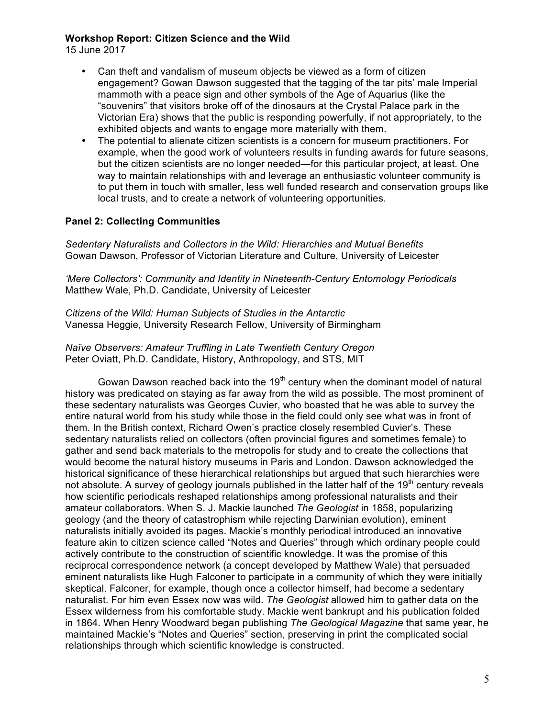15 June 2017

- Can theft and vandalism of museum objects be viewed as a form of citizen engagement? Gowan Dawson suggested that the tagging of the tar pits' male Imperial mammoth with a peace sign and other symbols of the Age of Aquarius (like the "souvenirs" that visitors broke off of the dinosaurs at the Crystal Palace park in the Victorian Era) shows that the public is responding powerfully, if not appropriately, to the exhibited objects and wants to engage more materially with them.
- The potential to alienate citizen scientists is a concern for museum practitioners. For example, when the good work of volunteers results in funding awards for future seasons, but the citizen scientists are no longer needed—for this particular project, at least. One way to maintain relationships with and leverage an enthusiastic volunteer community is to put them in touch with smaller, less well funded research and conservation groups like local trusts, and to create a network of volunteering opportunities.

# **Panel 2: Collecting Communities**

*Sedentary Naturalists and Collectors in the Wild: Hierarchies and Mutual Benefits* Gowan Dawson, Professor of Victorian Literature and Culture, University of Leicester

*'Mere Collectors': Community and Identity in Nineteenth-Century Entomology Periodicals* Matthew Wale, Ph.D. Candidate, University of Leicester

*Citizens of the Wild: Human Subjects of Studies in the Antarctic* Vanessa Heggie, University Research Fellow, University of Birmingham

*Naïve Observers: Amateur Truffling in Late Twentieth Century Oregon* Peter Oviatt, Ph.D. Candidate, History, Anthropology, and STS, MIT

Gowan Dawson reached back into the  $19<sup>th</sup>$  century when the dominant model of natural history was predicated on staying as far away from the wild as possible. The most prominent of these sedentary naturalists was Georges Cuvier, who boasted that he was able to survey the entire natural world from his study while those in the field could only see what was in front of them. In the British context, Richard Owen's practice closely resembled Cuvier's. These sedentary naturalists relied on collectors (often provincial figures and sometimes female) to gather and send back materials to the metropolis for study and to create the collections that would become the natural history museums in Paris and London. Dawson acknowledged the historical significance of these hierarchical relationships but argued that such hierarchies were not absolute. A survey of geology journals published in the latter half of the  $19<sup>th</sup>$  century reveals how scientific periodicals reshaped relationships among professional naturalists and their amateur collaborators. When S. J. Mackie launched *The Geologist* in 1858, popularizing geology (and the theory of catastrophism while rejecting Darwinian evolution), eminent naturalists initially avoided its pages. Mackie's monthly periodical introduced an innovative feature akin to citizen science called "Notes and Queries" through which ordinary people could actively contribute to the construction of scientific knowledge. It was the promise of this reciprocal correspondence network (a concept developed by Matthew Wale) that persuaded eminent naturalists like Hugh Falconer to participate in a community of which they were initially skeptical. Falconer, for example, though once a collector himself, had become a sedentary naturalist. For him even Essex now was wild. *The Geologist* allowed him to gather data on the Essex wilderness from his comfortable study. Mackie went bankrupt and his publication folded in 1864. When Henry Woodward began publishing *The Geological Magazine* that same year, he maintained Mackie's "Notes and Queries" section, preserving in print the complicated social relationships through which scientific knowledge is constructed.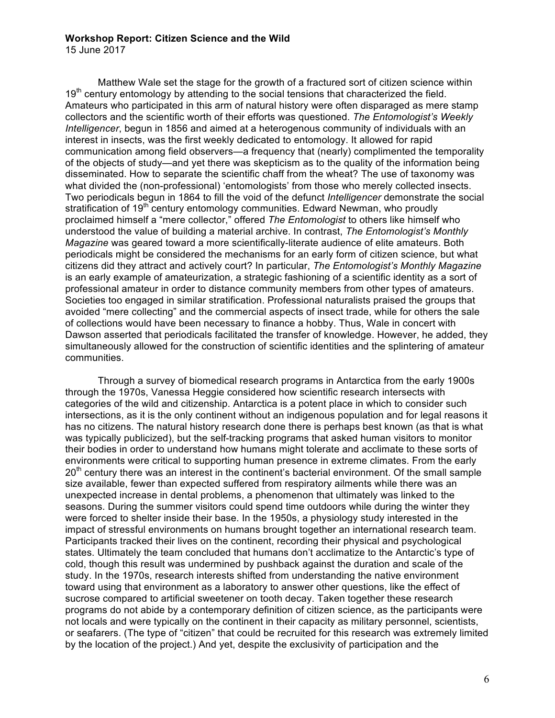15 June 2017

Matthew Wale set the stage for the growth of a fractured sort of citizen science within  $19<sup>th</sup>$  century entomology by attending to the social tensions that characterized the field. Amateurs who participated in this arm of natural history were often disparaged as mere stamp collectors and the scientific worth of their efforts was questioned. *The Entomologist's Weekly Intelligencer*, begun in 1856 and aimed at a heterogenous community of individuals with an interest in insects, was the first weekly dedicated to entomology. It allowed for rapid communication among field observers—a frequency that (nearly) complimented the temporality of the objects of study—and yet there was skepticism as to the quality of the information being disseminated. How to separate the scientific chaff from the wheat? The use of taxonomy was what divided the (non-professional) 'entomologists' from those who merely collected insects. Two periodicals begun in 1864 to fill the void of the defunct *Intelligencer* demonstrate the social stratification of 19<sup>th</sup> century entomology communities. Edward Newman, who proudly proclaimed himself a "mere collector," offered *The Entomologist* to others like himself who understood the value of building a material archive. In contrast, *The Entomologist's Monthly Magazine* was geared toward a more scientifically-literate audience of elite amateurs. Both periodicals might be considered the mechanisms for an early form of citizen science, but what citizens did they attract and actively court? In particular, *The Entomologist's Monthly Magazine* is an early example of amateurization, a strategic fashioning of a scientific identity as a sort of professional amateur in order to distance community members from other types of amateurs. Societies too engaged in similar stratification. Professional naturalists praised the groups that avoided "mere collecting" and the commercial aspects of insect trade, while for others the sale of collections would have been necessary to finance a hobby. Thus, Wale in concert with Dawson asserted that periodicals facilitated the transfer of knowledge. However, he added, they simultaneously allowed for the construction of scientific identities and the splintering of amateur communities.

Through a survey of biomedical research programs in Antarctica from the early 1900s through the 1970s, Vanessa Heggie considered how scientific research intersects with categories of the wild and citizenship. Antarctica is a potent place in which to consider such intersections, as it is the only continent without an indigenous population and for legal reasons it has no citizens. The natural history research done there is perhaps best known (as that is what was typically publicized), but the self-tracking programs that asked human visitors to monitor their bodies in order to understand how humans might tolerate and acclimate to these sorts of environments were critical to supporting human presence in extreme climates. From the early  $20<sup>th</sup>$  century there was an interest in the continent's bacterial environment. Of the small sample size available, fewer than expected suffered from respiratory ailments while there was an unexpected increase in dental problems, a phenomenon that ultimately was linked to the seasons. During the summer visitors could spend time outdoors while during the winter they were forced to shelter inside their base. In the 1950s, a physiology study interested in the impact of stressful environments on humans brought together an international research team. Participants tracked their lives on the continent, recording their physical and psychological states. Ultimately the team concluded that humans don't acclimatize to the Antarctic's type of cold, though this result was undermined by pushback against the duration and scale of the study. In the 1970s, research interests shifted from understanding the native environment toward using that environment as a laboratory to answer other questions, like the effect of sucrose compared to artificial sweetener on tooth decay. Taken together these research programs do not abide by a contemporary definition of citizen science, as the participants were not locals and were typically on the continent in their capacity as military personnel, scientists, or seafarers. (The type of "citizen" that could be recruited for this research was extremely limited by the location of the project.) And yet, despite the exclusivity of participation and the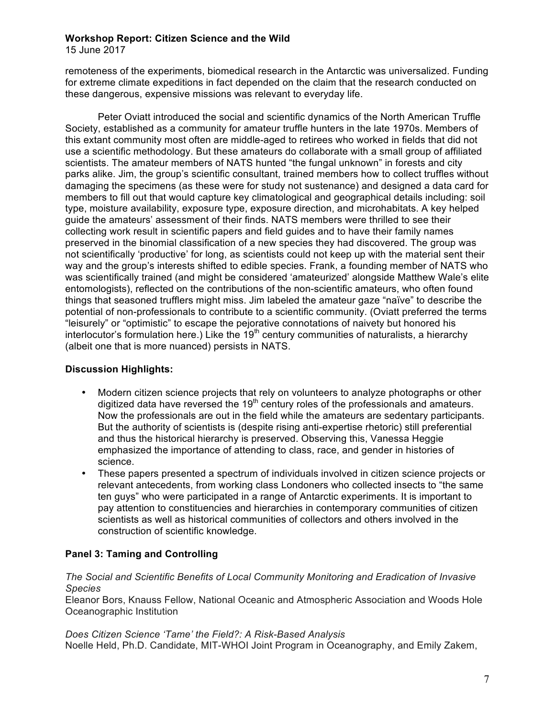15 June 2017

remoteness of the experiments, biomedical research in the Antarctic was universalized. Funding for extreme climate expeditions in fact depended on the claim that the research conducted on these dangerous, expensive missions was relevant to everyday life.

Peter Oviatt introduced the social and scientific dynamics of the North American Truffle Society, established as a community for amateur truffle hunters in the late 1970s. Members of this extant community most often are middle-aged to retirees who worked in fields that did not use a scientific methodology. But these amateurs do collaborate with a small group of affiliated scientists. The amateur members of NATS hunted "the fungal unknown" in forests and city parks alike. Jim, the group's scientific consultant, trained members how to collect truffles without damaging the specimens (as these were for study not sustenance) and designed a data card for members to fill out that would capture key climatological and geographical details including: soil type, moisture availability, exposure type, exposure direction, and microhabitats. A key helped guide the amateurs' assessment of their finds. NATS members were thrilled to see their collecting work result in scientific papers and field guides and to have their family names preserved in the binomial classification of a new species they had discovered. The group was not scientifically 'productive' for long, as scientists could not keep up with the material sent their way and the group's interests shifted to edible species. Frank, a founding member of NATS who was scientifically trained (and might be considered 'amateurized' alongside Matthew Wale's elite entomologists), reflected on the contributions of the non-scientific amateurs, who often found things that seasoned trufflers might miss. Jim labeled the amateur gaze "naïve" to describe the potential of non-professionals to contribute to a scientific community. (Oviatt preferred the terms "leisurely" or "optimistic" to escape the pejorative connotations of naivety but honored his interlocutor's formulation here.) Like the  $19<sup>th</sup>$  century communities of naturalists, a hierarchy (albeit one that is more nuanced) persists in NATS.

# **Discussion Highlights:**

- Modern citizen science projects that rely on volunteers to analyze photographs or other digitized data have reversed the  $19<sup>th</sup>$  century roles of the professionals and amateurs. Now the professionals are out in the field while the amateurs are sedentary participants. But the authority of scientists is (despite rising anti-expertise rhetoric) still preferential and thus the historical hierarchy is preserved. Observing this, Vanessa Heggie emphasized the importance of attending to class, race, and gender in histories of science.
- These papers presented a spectrum of individuals involved in citizen science projects or relevant antecedents, from working class Londoners who collected insects to "the same ten guys" who were participated in a range of Antarctic experiments. It is important to pay attention to constituencies and hierarchies in contemporary communities of citizen scientists as well as historical communities of collectors and others involved in the construction of scientific knowledge.

# **Panel 3: Taming and Controlling**

*The Social and Scientific Benefits of Local Community Monitoring and Eradication of Invasive Species*

Eleanor Bors, Knauss Fellow, National Oceanic and Atmospheric Association and Woods Hole Oceanographic Institution

# *Does Citizen Science 'Tame' the Field?: A Risk-Based Analysis*

Noelle Held, Ph.D. Candidate, MIT-WHOI Joint Program in Oceanography, and Emily Zakem,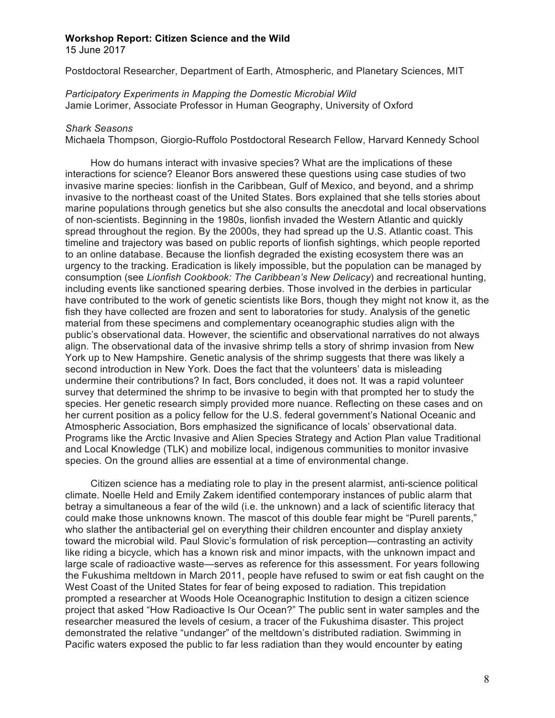15 June 2017

Postdoctoral Researcher, Department of Earth, Atmospheric, and Planetary Sciences, MIT

*Participatory Experiments in Mapping the Domestic Microbial Wild* Jamie Lorimer, Associate Professor in Human Geography, University of Oxford

#### *Shark Seasons*

Michaela Thompson, Giorgio-Ruffolo Postdoctoral Research Fellow, Harvard Kennedy School

How do humans interact with invasive species? What are the implications of these interactions for science? Eleanor Bors answered these questions using case studies of two invasive marine species: lionfish in the Caribbean, Gulf of Mexico, and beyond, and a shrimp invasive to the northeast coast of the United States. Bors explained that she tells stories about marine populations through genetics but she also consults the anecdotal and local observations of non-scientists. Beginning in the 1980s, lionfish invaded the Western Atlantic and quickly spread throughout the region. By the 2000s, they had spread up the U.S. Atlantic coast. This timeline and trajectory was based on public reports of lionfish sightings, which people reported to an online database. Because the lionfish degraded the existing ecosystem there was an urgency to the tracking. Eradication is likely impossible, but the population can be managed by consumption (see *Lionfish Cookbook: The Caribbean's New Delicacy*) and recreational hunting, including events like sanctioned spearing derbies. Those involved in the derbies in particular have contributed to the work of genetic scientists like Bors, though they might not know it, as the fish they have collected are frozen and sent to laboratories for study. Analysis of the genetic material from these specimens and complementary oceanographic studies align with the public's observational data. However, the scientific and observational narratives do not always align. The observational data of the invasive shrimp tells a story of shrimp invasion from New York up to New Hampshire. Genetic analysis of the shrimp suggests that there was likely a second introduction in New York. Does the fact that the volunteers' data is misleading undermine their contributions? In fact, Bors concluded, it does not. It was a rapid volunteer survey that determined the shrimp to be invasive to begin with that prompted her to study the species. Her genetic research simply provided more nuance. Reflecting on these cases and on her current position as a policy fellow for the U.S. federal government's National Oceanic and Atmospheric Association, Bors emphasized the significance of locals' observational data. Programs like the Arctic Invasive and Alien Species Strategy and Action Plan value Traditional and Local Knowledge (TLK) and mobilize local, indigenous communities to monitor invasive species. On the ground allies are essential at a time of environmental change.

Citizen science has a mediating role to play in the present alarmist, anti-science political climate. Noelle Held and Emily Zakem identified contemporary instances of public alarm that betray a simultaneous a fear of the wild (i.e. the unknown) and a lack of scientific literacy that could make those unknowns known. The mascot of this double fear might be "Purell parents," who slather the antibacterial gel on everything their children encounter and display anxiety toward the microbial wild. Paul Slovic's formulation of risk perception—contrasting an activity like riding a bicycle, which has a known risk and minor impacts, with the unknown impact and large scale of radioactive waste—serves as reference for this assessment. For years following the Fukushima meltdown in March 2011, people have refused to swim or eat fish caught on the West Coast of the United States for fear of being exposed to radiation. This trepidation prompted a researcher at Woods Hole Oceanographic Institution to design a citizen science project that asked "How Radioactive Is Our Ocean?" The public sent in water samples and the researcher measured the levels of cesium, a tracer of the Fukushima disaster. This project demonstrated the relative "undanger" of the meltdown's distributed radiation. Swimming in Pacific waters exposed the public to far less radiation than they would encounter by eating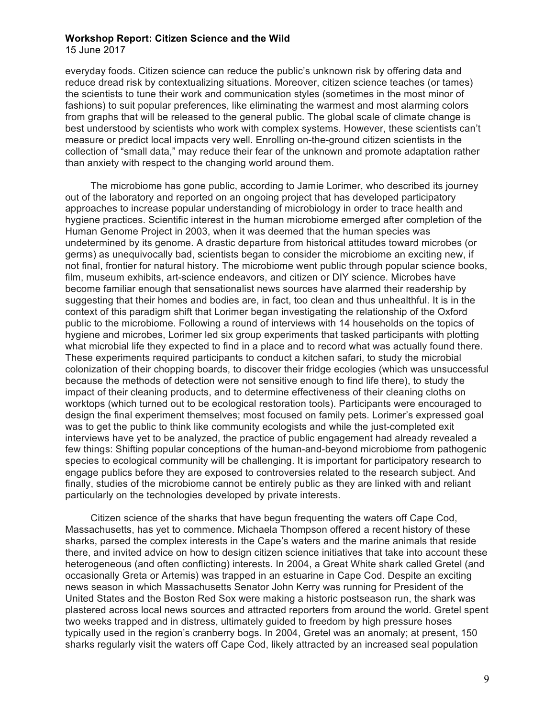15 June 2017

everyday foods. Citizen science can reduce the public's unknown risk by offering data and reduce dread risk by contextualizing situations. Moreover, citizen science teaches (or tames) the scientists to tune their work and communication styles (sometimes in the most minor of fashions) to suit popular preferences, like eliminating the warmest and most alarming colors from graphs that will be released to the general public. The global scale of climate change is best understood by scientists who work with complex systems. However, these scientists can't measure or predict local impacts very well. Enrolling on-the-ground citizen scientists in the collection of "small data," may reduce their fear of the unknown and promote adaptation rather than anxiety with respect to the changing world around them.

The microbiome has gone public, according to Jamie Lorimer, who described its journey out of the laboratory and reported on an ongoing project that has developed participatory approaches to increase popular understanding of microbiology in order to trace health and hygiene practices. Scientific interest in the human microbiome emerged after completion of the Human Genome Project in 2003, when it was deemed that the human species was undetermined by its genome. A drastic departure from historical attitudes toward microbes (or germs) as unequivocally bad, scientists began to consider the microbiome an exciting new, if not final, frontier for natural history. The microbiome went public through popular science books, film, museum exhibits, art-science endeavors, and citizen or DIY science. Microbes have become familiar enough that sensationalist news sources have alarmed their readership by suggesting that their homes and bodies are, in fact, too clean and thus unhealthful. It is in the context of this paradigm shift that Lorimer began investigating the relationship of the Oxford public to the microbiome. Following a round of interviews with 14 households on the topics of hygiene and microbes, Lorimer led six group experiments that tasked participants with plotting what microbial life they expected to find in a place and to record what was actually found there. These experiments required participants to conduct a kitchen safari, to study the microbial colonization of their chopping boards, to discover their fridge ecologies (which was unsuccessful because the methods of detection were not sensitive enough to find life there), to study the impact of their cleaning products, and to determine effectiveness of their cleaning cloths on worktops (which turned out to be ecological restoration tools). Participants were encouraged to design the final experiment themselves; most focused on family pets. Lorimer's expressed goal was to get the public to think like community ecologists and while the just-completed exit interviews have yet to be analyzed, the practice of public engagement had already revealed a few things: Shifting popular conceptions of the human-and-beyond microbiome from pathogenic species to ecological community will be challenging. It is important for participatory research to engage publics before they are exposed to controversies related to the research subject. And finally, studies of the microbiome cannot be entirely public as they are linked with and reliant particularly on the technologies developed by private interests.

Citizen science of the sharks that have begun frequenting the waters off Cape Cod, Massachusetts, has yet to commence. Michaela Thompson offered a recent history of these sharks, parsed the complex interests in the Cape's waters and the marine animals that reside there, and invited advice on how to design citizen science initiatives that take into account these heterogeneous (and often conflicting) interests. In 2004, a Great White shark called Gretel (and occasionally Greta or Artemis) was trapped in an estuarine in Cape Cod. Despite an exciting news season in which Massachusetts Senator John Kerry was running for President of the United States and the Boston Red Sox were making a historic postseason run, the shark was plastered across local news sources and attracted reporters from around the world. Gretel spent two weeks trapped and in distress, ultimately guided to freedom by high pressure hoses typically used in the region's cranberry bogs. In 2004, Gretel was an anomaly; at present, 150 sharks regularly visit the waters off Cape Cod, likely attracted by an increased seal population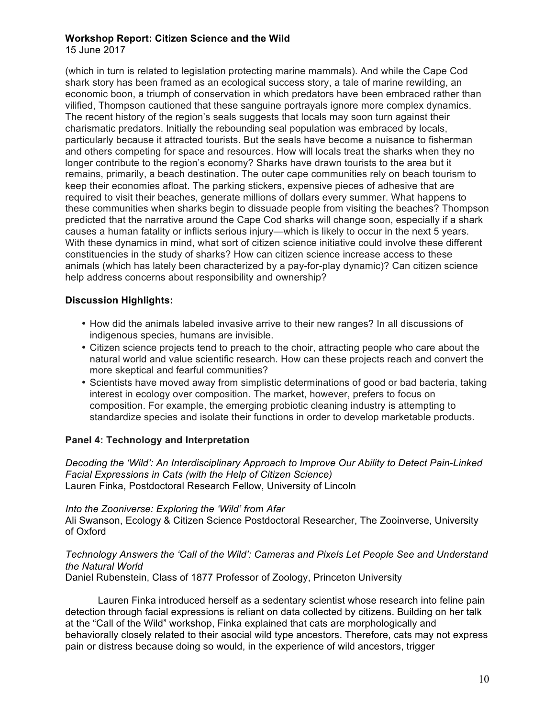15 June 2017

(which in turn is related to legislation protecting marine mammals). And while the Cape Cod shark story has been framed as an ecological success story, a tale of marine rewilding, an economic boon, a triumph of conservation in which predators have been embraced rather than vilified, Thompson cautioned that these sanguine portrayals ignore more complex dynamics. The recent history of the region's seals suggests that locals may soon turn against their charismatic predators. Initially the rebounding seal population was embraced by locals, particularly because it attracted tourists. But the seals have become a nuisance to fisherman and others competing for space and resources. How will locals treat the sharks when they no longer contribute to the region's economy? Sharks have drawn tourists to the area but it remains, primarily, a beach destination. The outer cape communities rely on beach tourism to keep their economies afloat. The parking stickers, expensive pieces of adhesive that are required to visit their beaches, generate millions of dollars every summer. What happens to these communities when sharks begin to dissuade people from visiting the beaches? Thompson predicted that the narrative around the Cape Cod sharks will change soon, especially if a shark causes a human fatality or inflicts serious injury—which is likely to occur in the next 5 years. With these dynamics in mind, what sort of citizen science initiative could involve these different constituencies in the study of sharks? How can citizen science increase access to these animals (which has lately been characterized by a pay-for-play dynamic)? Can citizen science help address concerns about responsibility and ownership?

## **Discussion Highlights:**

- How did the animals labeled invasive arrive to their new ranges? In all discussions of indigenous species, humans are invisible.
- Citizen science projects tend to preach to the choir, attracting people who care about the natural world and value scientific research. How can these projects reach and convert the more skeptical and fearful communities?
- Scientists have moved away from simplistic determinations of good or bad bacteria, taking interest in ecology over composition. The market, however, prefers to focus on composition. For example, the emerging probiotic cleaning industry is attempting to standardize species and isolate their functions in order to develop marketable products.

# **Panel 4: Technology and Interpretation**

*Decoding the 'Wild': An Interdisciplinary Approach to Improve Our Ability to Detect Pain-Linked Facial Expressions in Cats (with the Help of Citizen Science)* Lauren Finka, Postdoctoral Research Fellow, University of Lincoln

*Into the Zooniverse: Exploring the 'Wild' from Afar* Ali Swanson, Ecology & Citizen Science Postdoctoral Researcher, The Zooinverse, University of Oxford

## *Technology Answers the 'Call of the Wild': Cameras and Pixels Let People See and Understand the Natural World*

Daniel Rubenstein, Class of 1877 Professor of Zoology, Princeton University

Lauren Finka introduced herself as a sedentary scientist whose research into feline pain detection through facial expressions is reliant on data collected by citizens. Building on her talk at the "Call of the Wild" workshop, Finka explained that cats are morphologically and behaviorally closely related to their asocial wild type ancestors. Therefore, cats may not express pain or distress because doing so would, in the experience of wild ancestors, trigger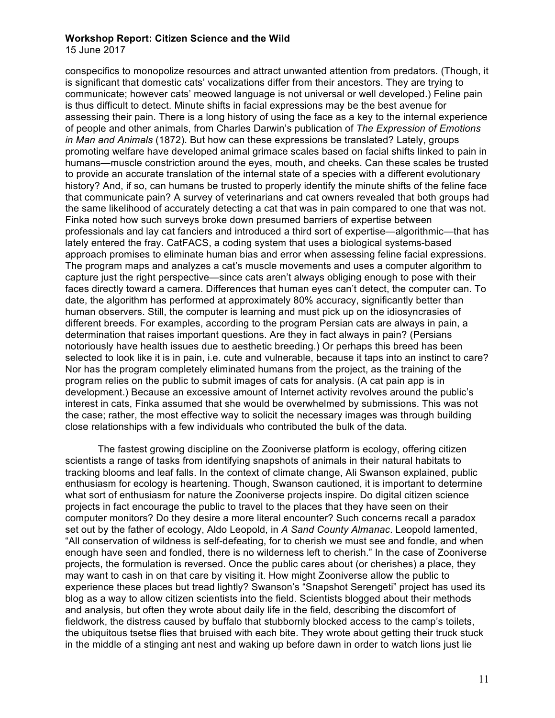15 June 2017

conspecifics to monopolize resources and attract unwanted attention from predators. (Though, it is significant that domestic cats' vocalizations differ from their ancestors. They are trying to communicate; however cats' meowed language is not universal or well developed.) Feline pain is thus difficult to detect. Minute shifts in facial expressions may be the best avenue for assessing their pain. There is a long history of using the face as a key to the internal experience of people and other animals, from Charles Darwin's publication of *The Expression of Emotions in Man and Animals* (1872). But how can these expressions be translated? Lately, groups promoting welfare have developed animal grimace scales based on facial shifts linked to pain in humans—muscle constriction around the eyes, mouth, and cheeks. Can these scales be trusted to provide an accurate translation of the internal state of a species with a different evolutionary history? And, if so, can humans be trusted to properly identify the minute shifts of the feline face that communicate pain? A survey of veterinarians and cat owners revealed that both groups had the same likelihood of accurately detecting a cat that was in pain compared to one that was not. Finka noted how such surveys broke down presumed barriers of expertise between professionals and lay cat fanciers and introduced a third sort of expertise—algorithmic—that has lately entered the fray. CatFACS, a coding system that uses a biological systems-based approach promises to eliminate human bias and error when assessing feline facial expressions. The program maps and analyzes a cat's muscle movements and uses a computer algorithm to capture just the right perspective—since cats aren't always obliging enough to pose with their faces directly toward a camera. Differences that human eyes can't detect, the computer can. To date, the algorithm has performed at approximately 80% accuracy, significantly better than human observers. Still, the computer is learning and must pick up on the idiosyncrasies of different breeds. For examples, according to the program Persian cats are always in pain, a determination that raises important questions. Are they in fact always in pain? (Persians notoriously have health issues due to aesthetic breeding.) Or perhaps this breed has been selected to look like it is in pain, i.e. cute and vulnerable, because it taps into an instinct to care? Nor has the program completely eliminated humans from the project, as the training of the program relies on the public to submit images of cats for analysis. (A cat pain app is in development.) Because an excessive amount of Internet activity revolves around the public's interest in cats, Finka assumed that she would be overwhelmed by submissions. This was not the case; rather, the most effective way to solicit the necessary images was through building close relationships with a few individuals who contributed the bulk of the data.

The fastest growing discipline on the Zooniverse platform is ecology, offering citizen scientists a range of tasks from identifying snapshots of animals in their natural habitats to tracking blooms and leaf falls. In the context of climate change, Ali Swanson explained, public enthusiasm for ecology is heartening. Though, Swanson cautioned, it is important to determine what sort of enthusiasm for nature the Zooniverse projects inspire. Do digital citizen science projects in fact encourage the public to travel to the places that they have seen on their computer monitors? Do they desire a more literal encounter? Such concerns recall a paradox set out by the father of ecology, Aldo Leopold, in *A Sand County Almanac*. Leopold lamented, "All conservation of wildness is self-defeating, for to cherish we must see and fondle, and when enough have seen and fondled, there is no wilderness left to cherish." In the case of Zooniverse projects, the formulation is reversed. Once the public cares about (or cherishes) a place, they may want to cash in on that care by visiting it. How might Zooniverse allow the public to experience these places but tread lightly? Swanson's "Snapshot Serengeti" project has used its blog as a way to allow citizen scientists into the field. Scientists blogged about their methods and analysis, but often they wrote about daily life in the field, describing the discomfort of fieldwork, the distress caused by buffalo that stubbornly blocked access to the camp's toilets, the ubiquitous tsetse flies that bruised with each bite. They wrote about getting their truck stuck in the middle of a stinging ant nest and waking up before dawn in order to watch lions just lie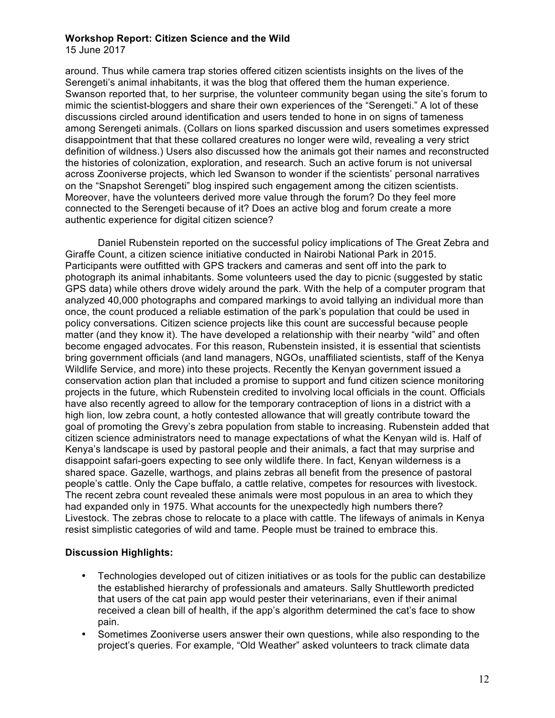15 June 2017

around. Thus while camera trap stories offered citizen scientists insights on the lives of the Serengeti's animal inhabitants, it was the blog that offered them the human experience. Swanson reported that, to her surprise, the volunteer community began using the site's forum to mimic the scientist-bloggers and share their own experiences of the "Serengeti." A lot of these discussions circled around identification and users tended to hone in on signs of tameness among Serengeti animals. (Collars on lions sparked discussion and users sometimes expressed disappointment that that these collared creatures no longer were wild, revealing a very strict definition of wildness.) Users also discussed how the animals got their names and reconstructed the histories of colonization, exploration, and research. Such an active forum is not universal across Zooniverse projects, which led Swanson to wonder if the scientists' personal narratives on the "Snapshot Serengeti" blog inspired such engagement among the citizen scientists. Moreover, have the volunteers derived more value through the forum? Do they feel more connected to the Serengeti because of it? Does an active blog and forum create a more authentic experience for digital citizen science?

Daniel Rubenstein reported on the successful policy implications of The Great Zebra and Giraffe Count, a citizen science initiative conducted in Nairobi National Park in 2015. Participants were outfitted with GPS trackers and cameras and sent off into the park to photograph its animal inhabitants. Some volunteers used the day to picnic (suggested by static GPS data) while others drove widely around the park. With the help of a computer program that analyzed 40,000 photographs and compared markings to avoid tallying an individual more than once, the count produced a reliable estimation of the park's population that could be used in policy conversations. Citizen science projects like this count are successful because people matter (and they know it). The have developed a relationship with their nearby "wild" and often become engaged advocates. For this reason, Rubenstein insisted, it is essential that scientists bring government officials (and land managers, NGOs, unaffiliated scientists, staff of the Kenya Wildlife Service, and more) into these projects. Recently the Kenyan government issued a conservation action plan that included a promise to support and fund citizen science monitoring projects in the future, which Rubenstein credited to involving local officials in the count. Officials have also recently agreed to allow for the temporary contraception of lions in a district with a high lion, low zebra count, a hotly contested allowance that will greatly contribute toward the goal of promoting the Grevy's zebra population from stable to increasing. Rubenstein added that citizen science administrators need to manage expectations of what the Kenyan wild is. Half of Kenya's landscape is used by pastoral people and their animals, a fact that may surprise and disappoint safari-goers expecting to see only wildlife there. In fact, Kenyan wilderness is a shared space. Gazelle, warthogs, and plains zebras all benefit from the presence of pastoral people's cattle. Only the Cape buffalo, a cattle relative, competes for resources with livestock. The recent zebra count revealed these animals were most populous in an area to which they had expanded only in 1975. What accounts for the unexpectedly high numbers there? Livestock. The zebras chose to relocate to a place with cattle. The lifeways of animals in Kenya resist simplistic categories of wild and tame. People must be trained to embrace this.

## **Discussion Highlights:**

- Technologies developed out of citizen initiatives or as tools for the public can destabilize the established hierarchy of professionals and amateurs. Sally Shuttleworth predicted that users of the cat pain app would pester their veterinarians, even if their animal received a clean bill of health, if the app's algorithm determined the cat's face to show pain.
- Sometimes Zooniverse users answer their own questions, while also responding to the project's queries. For example, "Old Weather" asked volunteers to track climate data